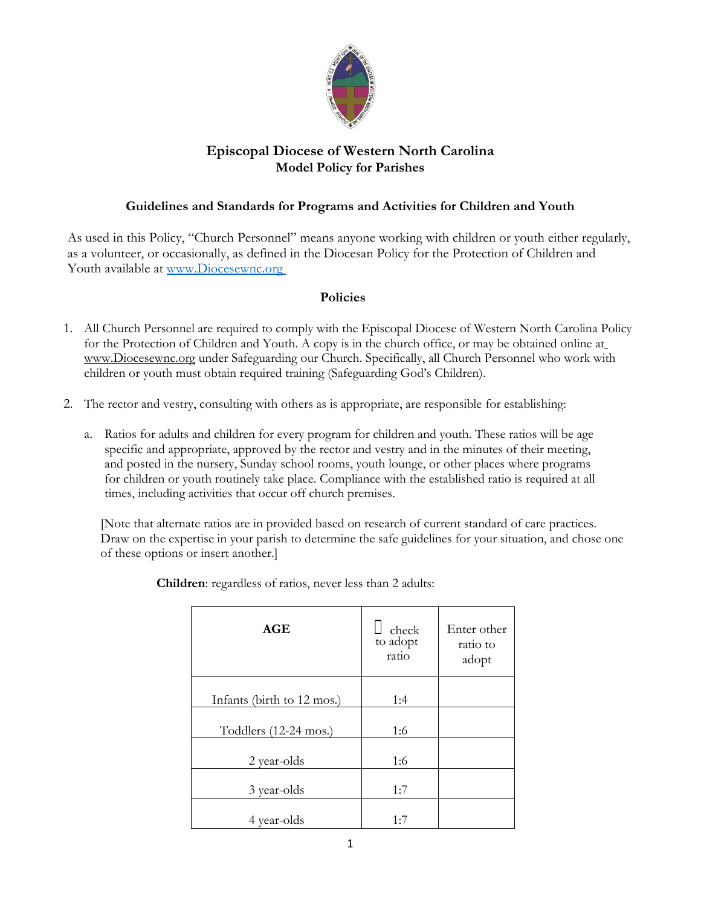

## **Episcopal Diocese of Western North Carolina Model Policy for Parishes**

## **Guidelines and Standards for Programs and Activities for Children and Youth**

As used in this Policy, "Church Personnel" means anyone working with children or youth either regularly, as a volunteer, or occasionally, as defined in the Diocesan Policy for the Protection of Children and Youth available at www.Diocesewnc.org

## **Policies**

- 1. All Church Personnel are required to comply with the Episcopal Diocese of Western North Carolina Policy for the Protection of Children and Youth. A copy is in the church office, or may be obtained online a[t](http://www.diocesewnc.org/) [www.Diocesewnc.org](http://www.diocesewnc.org/) under Safeguarding our Church. Specifically, all Church Personnel who work with children or youth must obtain required training (Safeguarding God's Children).
- 2. The rector and vestry, consulting with others as is appropriate, are responsible for establishing:
	- a. Ratios for adults and children for every program for children and youth. These ratios will be age specific and appropriate, approved by the rector and vestry and in the minutes of their meeting, and posted in the nursery, Sunday school rooms, youth lounge, or other places where programs for children or youth routinely take place. Compliance with the established ratio is required at all times, including activities that occur off church premises.

[Note that alternate ratios are in provided based on research of current standard of care practices. Draw on the expertise in your parish to determine the safe guidelines for your situation, and chose one of these options or insert another.]

| AGE                        | check<br>to adopt<br>ratio | Enter other<br>ratio to<br>adopt |
|----------------------------|----------------------------|----------------------------------|
| Infants (birth to 12 mos.) | 1:4                        |                                  |
| Toddlers (12-24 mos.)      | 1:6                        |                                  |
| 2 year-olds                | 1:6                        |                                  |
| 3 year-olds                | 1:7                        |                                  |
| 4 year-olds                | 1:7                        |                                  |

**Children**: regardless of ratios, never less than 2 adults: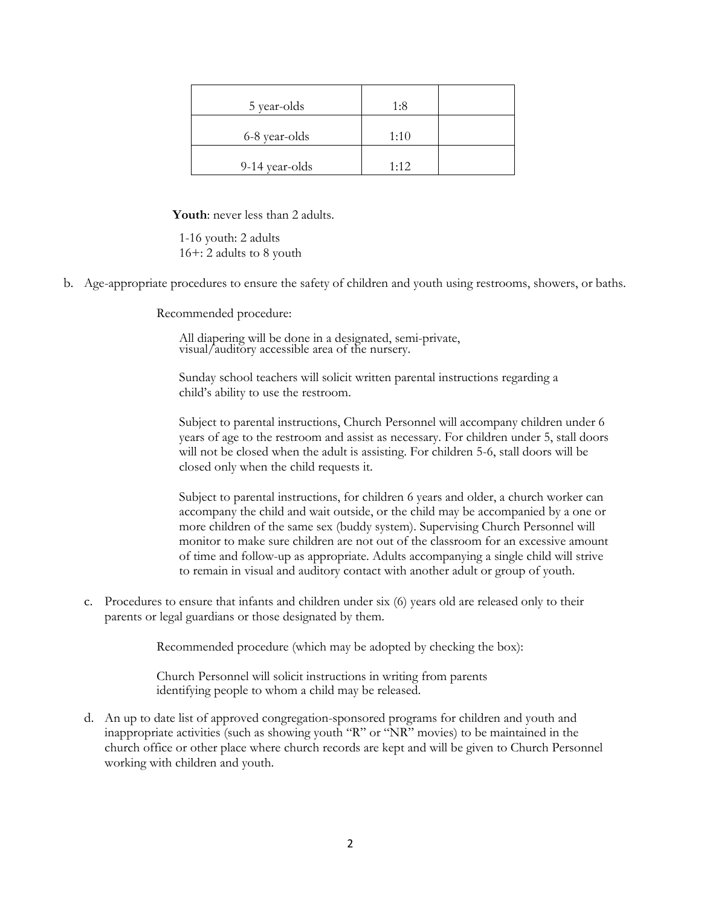| 5 year-olds    | 1:8  |  |
|----------------|------|--|
| 6-8 year-olds  | 1:10 |  |
| 9-14 year-olds | 1:12 |  |

**Youth**: never less than 2 adults.

1-16 youth: 2 adults 16+: 2 adults to 8 youth

b. Age-appropriate procedures to ensure the safety of children and youth using restrooms, showers, or baths.

Recommended procedure:

All diapering will be done in a designated, semi-private, visual/auditory accessible area of the nursery.

Sunday school teachers will solicit written parental instructions regarding a child's ability to use the restroom.

Subject to parental instructions, Church Personnel will accompany children under 6 years of age to the restroom and assist as necessary. For children under 5, stall doors will not be closed when the adult is assisting. For children 5-6, stall doors will be closed only when the child requests it.

Subject to parental instructions, for children 6 years and older, a church worker can accompany the child and wait outside, or the child may be accompanied by a one or more children of the same sex (buddy system). Supervising Church Personnel will monitor to make sure children are not out of the classroom for an excessive amount of time and follow-up as appropriate. Adults accompanying a single child will strive to remain in visual and auditory contact with another adult or group of youth.

c. Procedures to ensure that infants and children under six (6) years old are released only to their parents or legal guardians or those designated by them.

Recommended procedure (which may be adopted by checking the box):

Church Personnel will solicit instructions in writing from parents identifying people to whom a child may be released.

d. An up to date list of approved congregation-sponsored programs for children and youth and inappropriate activities (such as showing youth "R" or "NR" movies) to be maintained in the church office or other place where church records are kept and will be given to Church Personnel working with children and youth.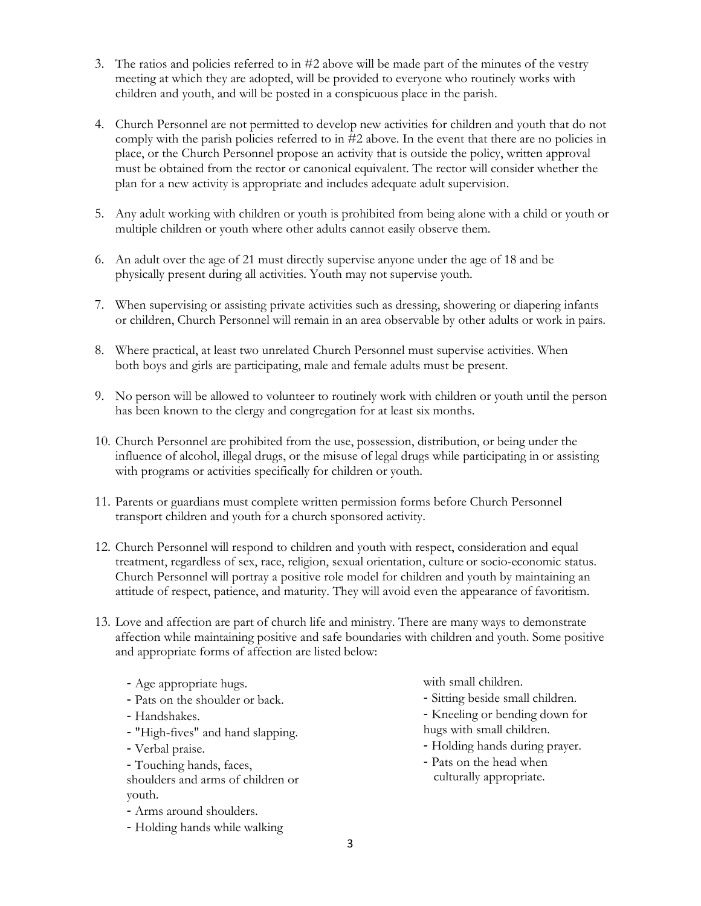- 3. The ratios and policies referred to in #2 above will be made part of the minutes of the vestry meeting at which they are adopted, will be provided to everyone who routinely works with children and youth, and will be posted in a conspicuous place in the parish.
- 4. Church Personnel are not permitted to develop new activities for children and youth that do not comply with the parish policies referred to in #2 above. In the event that there are no policies in place, or the Church Personnel propose an activity that is outside the policy, written approval must be obtained from the rector or canonical equivalent. The rector will consider whether the plan for a new activity is appropriate and includes adequate adult supervision.
- 5. Any adult working with children or youth is prohibited from being alone with a child or youth or multiple children or youth where other adults cannot easily observe them.
- 6. An adult over the age of 21 must directly supervise anyone under the age of 18 and be physically present during all activities. Youth may not supervise youth.
- 7. When supervising or assisting private activities such as dressing, showering or diapering infants or children, Church Personnel will remain in an area observable by other adults or work in pairs.
- 8. Where practical, at least two unrelated Church Personnel must supervise activities. When both boys and girls are participating, male and female adults must be present.
- 9. No person will be allowed to volunteer to routinely work with children or youth until the person has been known to the clergy and congregation for at least six months.
- 10. Church Personnel are prohibited from the use, possession, distribution, or being under the influence of alcohol, illegal drugs, or the misuse of legal drugs while participating in or assisting with programs or activities specifically for children or youth.
- 11. Parents or guardians must complete written permission forms before Church Personnel transport children and youth for a church sponsored activity.
- 12. Church Personnel will respond to children and youth with respect, consideration and equal treatment, regardless of sex, race, religion, sexual orientation, culture or socio-economic status. Church Personnel will portray a positive role model for children and youth by maintaining an attitude of respect, patience, and maturity. They will avoid even the appearance of favoritism.
- 13. Love and affection are part of church life and ministry. There are many ways to demonstrate affection while maintaining positive and safe boundaries with children and youth. Some positive and appropriate forms of affection are listed below:
	- Age appropriate hugs.
	- Pats on the shoulder or back.
	- Handshakes.
	- "High-fives" and hand slapping.
	- Verbal praise.
	- Touching hands, faces, shoulders and arms of children or youth.
	- Arms around shoulders.
	- Holding hands while walking

with small children.

- Sitting beside small children.
- Kneeling or bending down for hugs with small children.
- Holding hands during prayer.
- Pats on the head when culturally appropriate.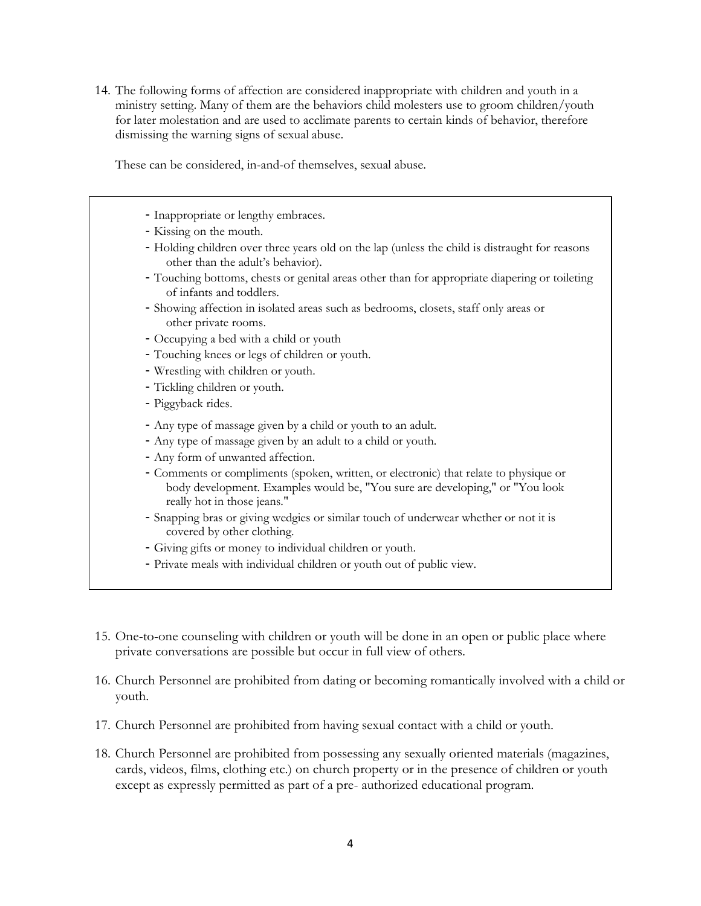14. The following forms of affection are considered inappropriate with children and youth in a ministry setting. Many of them are the behaviors child molesters use to groom children/youth for later molestation and are used to acclimate parents to certain kinds of behavior, therefore dismissing the warning signs of sexual abuse.

These can be considered, in-and-of themselves, sexual abuse.

- Inappropriate or lengthy embraces. - Kissing on the mouth. - Holding children over three years old on the lap (unless the child is distraught for reasons other than the adult's behavior). - Touching bottoms, chests or genital areas other than for appropriate diapering or toileting of infants and toddlers. - Showing affection in isolated areas such as bedrooms, closets, staff only areas or other private rooms. - Occupying a bed with a child or youth - Touching knees or legs of children or youth. - Wrestling with children or youth. - Tickling children or youth. - Piggyback rides. - Any type of massage given by a child or youth to an adult. - Any type of massage given by an adult to a child or youth. - Any form of unwanted affection. - Comments or compliments (spoken, written, or electronic) that relate to physique or body development. Examples would be, "You sure are developing," or "You look really hot in those jeans." - Snapping bras or giving wedgies or similar touch of underwear whether or not it is covered by other clothing. - Giving gifts or money to individual children or youth.
	- Private meals with individual children or youth out of public view.
- 15. One-to-one counseling with children or youth will be done in an open or public place where private conversations are possible but occur in full view of others.
- 16. Church Personnel are prohibited from dating or becoming romantically involved with a child or youth.
- 17. Church Personnel are prohibited from having sexual contact with a child or youth.
- 18. Church Personnel are prohibited from possessing any sexually oriented materials (magazines, cards, videos, films, clothing etc.) on church property or in the presence of children or youth except as expressly permitted as part of a pre- authorized educational program.